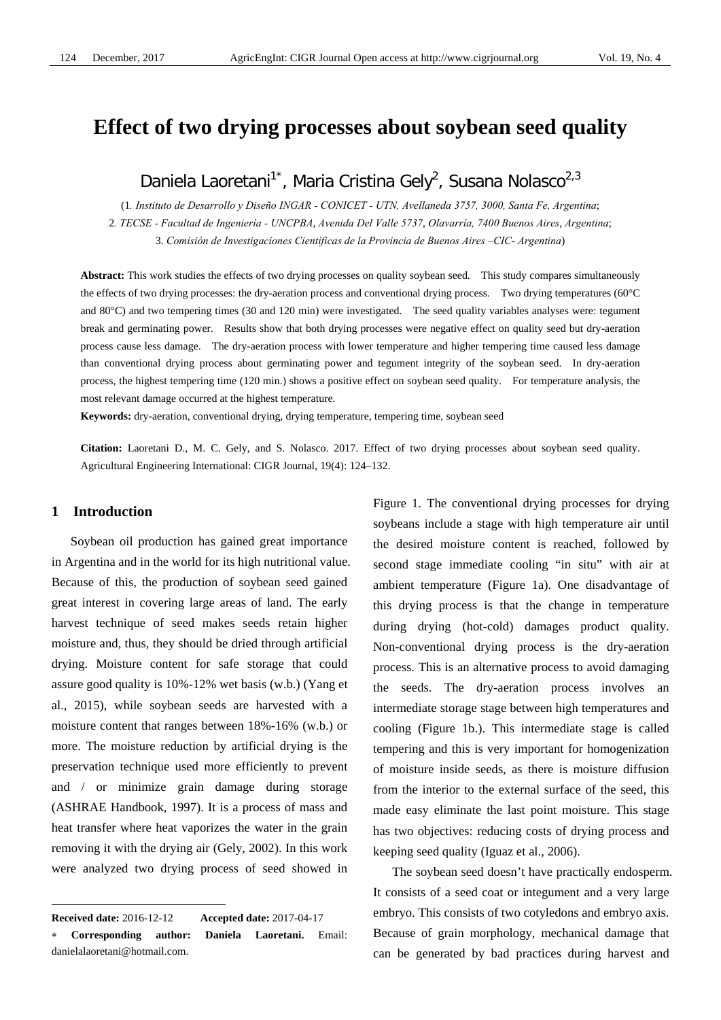# **Effect of two drying processes about soybean seed quality**

Daniela Laoretani<sup>1\*</sup>, Maria Cristina Gely<sup>2</sup>, Susana Nolasco<sup>2,3</sup>

(1*. Instituto de Desarrollo y Diseño INGAR - CONICET - UTN, Avellaneda 3757, 3000, Santa Fe, Argentina*; 2*. TECSE - Facultad de Ingeniería - UNCPBA*, *Avenida Del Valle 5737*, *Olavarría, 7400 Buenos Aires*, *Argentina*; 3. *Comisión de Investigaciones Científicas de la Provincia de Buenos Aires –CIC- Argentina*)

**Abstract:** This work studies the effects of two drying processes on quality soybean seed. This study compares simultaneously the effects of two drying processes: the dry-aeration process and conventional drying process. Two drying temperatures (60°C and 80°C) and two tempering times (30 and 120 min) were investigated. The seed quality variables analyses were: tegument break and germinating power. Results show that both drying processes were negative effect on quality seed but dry-aeration process cause less damage. The dry-aeration process with lower temperature and higher tempering time caused less damage than conventional drying process about germinating power and tegument integrity of the soybean seed. In dry-aeration process, the highest tempering time (120 min.) shows a positive effect on soybean seed quality. For temperature analysis, the most relevant damage occurred at the highest temperature.

**Keywords:** dry-aeration, conventional drying, drying temperature, tempering time, soybean seed

**Citation:** Laoretani D., M. C. Gely, and S. Nolasco. 2017. Effect of two drying processes about soybean seed quality. Agricultural Engineering International: CIGR Journal, 19(4): 124–132.

# **1 Introduction**

 $\overline{a}$ 

Soybean oil production has gained great importance in Argentina and in the world for its high nutritional value. Because of this, the production of soybean seed gained great interest in covering large areas of land. The early harvest technique of seed makes seeds retain higher moisture and, thus, they should be dried through artificial drying. Moisture content for safe storage that could assure good quality is 10%-12% wet basis (w.b.) (Yang et al., 2015), while soybean seeds are harvested with a moisture content that ranges between 18%-16% (w.b.) or more. The moisture reduction by artificial drying is the preservation technique used more efficiently to prevent and / or minimize grain damage during storage (ASHRAE Handbook, 1997). It is a process of mass and heat transfer where heat vaporizes the water in the grain removing it with the drying air (Gely, 2002). In this work were analyzed two drying process of seed showed in

Figure 1. The conventional drying processes for drying soybeans include a stage with high temperature air until the desired moisture content is reached, followed by second stage immediate cooling "in situ" with air at ambient temperature (Figure 1a). One disadvantage of this drying process is that the change in temperature during drying (hot-cold) damages product quality. Non-conventional drying process is the dry-aeration process. This is an alternative process to avoid damaging the seeds. The dry-aeration process involves an intermediate storage stage between high temperatures and cooling (Figure 1b.). This intermediate stage is called tempering and this is very important for homogenization of moisture inside seeds, as there is moisture diffusion from the interior to the external surface of the seed, this made easy eliminate the last point moisture. This stage has two objectives: reducing costs of drying process and keeping seed quality (Iguaz et al., 2006).

The soybean seed doesn't have practically endosperm. It consists of a seed coat or integument and a very large embryo. This consists of two cotyledons and embryo axis. Because of grain morphology, mechanical damage that can be generated by bad practices during harvest and

**Received date:** 2016-12-12 **Accepted date:** 2017-04-17 ∗ **Corresponding author: Daniela Laoretani.** Email: danielalaoretani@hotmail.com.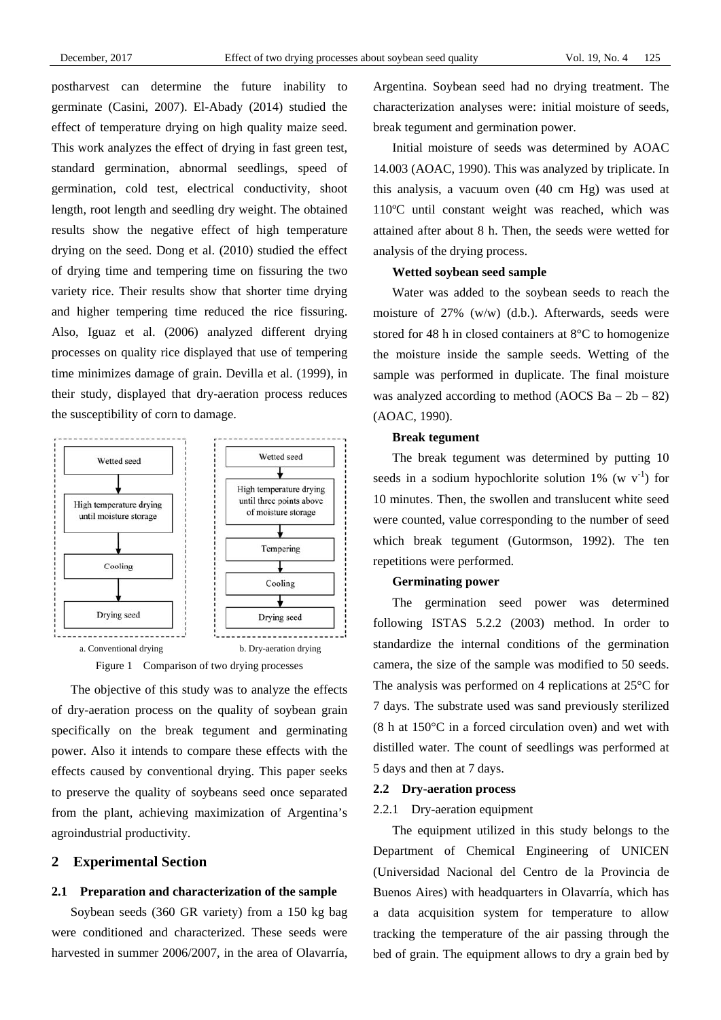postharvest can determine the future inability to germinate (Casini, 2007). El-Abady (2014) studied the effect of temperature drying on high quality maize seed. This work analyzes the effect of drying in fast green test, standard germination, abnormal seedlings, speed of germination, cold test, electrical conductivity, shoot length, root length and seedling dry weight. The obtained results show the negative effect of high temperature drying on the seed. Dong et al. (2010) studied the effect of drying time and tempering time on fissuring the two variety rice. Their results show that shorter time drying and higher tempering time reduced the rice fissuring. Also, Iguaz et al. (2006) analyzed different drying processes on quality rice displayed that use of tempering time minimizes damage of grain. Devilla et al. (1999), in their study, displayed that dry-aeration process reduces the susceptibility of corn to damage.





The objective of this study was to analyze the effects of dry-aeration process on the quality of soybean grain specifically on the break tegument and germinating power. Also it intends to compare these effects with the effects caused by conventional drying. This paper seeks to preserve the quality of soybeans seed once separated from the plant, achieving maximization of Argentina's agroindustrial productivity.

#### **2 Experimental Section**

### **2.1 Preparation and characterization of the sample**

Soybean seeds (360 GR variety) from a 150 kg bag were conditioned and characterized. These seeds were harvested in summer 2006/2007, in the area of Olavarría, Argentina. Soybean seed had no drying treatment. The characterization analyses were: initial moisture of seeds, break tegument and germination power.

Initial moisture of seeds was determined by AOAC 14.003 (AOAC, 1990). This was analyzed by triplicate. In this analysis, a vacuum oven (40 cm Hg) was used at 110ºC until constant weight was reached, which was attained after about 8 h. Then, the seeds were wetted for analysis of the drying process.

# **Wetted soybean seed sample**

Water was added to the soybean seeds to reach the moisture of 27% (w/w) (d.b.). Afterwards, seeds were stored for 48 h in closed containers at 8°C to homogenize the moisture inside the sample seeds. Wetting of the sample was performed in duplicate. The final moisture was analyzed according to method  $(AOCS Ba - 2b - 82)$ (AOAC, 1990).

#### **Break tegument**

The break tegument was determined by putting 10 seeds in a sodium hypochlorite solution 1% (w  $v^{-1}$ ) for 10 minutes. Then, the swollen and translucent white seed were counted, value corresponding to the number of seed which break tegument (Gutormson, 1992). The ten repetitions were performed.

### **Germinating power**

The germination seed power was determined following ISTAS 5.2.2 (2003) method. In order to standardize the internal conditions of the germination camera, the size of the sample was modified to 50 seeds. The analysis was performed on 4 replications at 25°C for 7 days. The substrate used was sand previously sterilized (8 h at 150°C in a forced circulation oven) and wet with distilled water. The count of seedlings was performed at 5 days and then at 7 days.

#### **2.2 Dry-aeration process**

#### 2.2.1 Dry-aeration equipment

The equipment utilized in this study belongs to the Department of Chemical Engineering of UNICEN (Universidad Nacional del Centro de la Provincia de Buenos Aires) with headquarters in Olavarría, which has a data acquisition system for temperature to allow tracking the temperature of the air passing through the bed of grain. The equipment allows to dry a grain bed by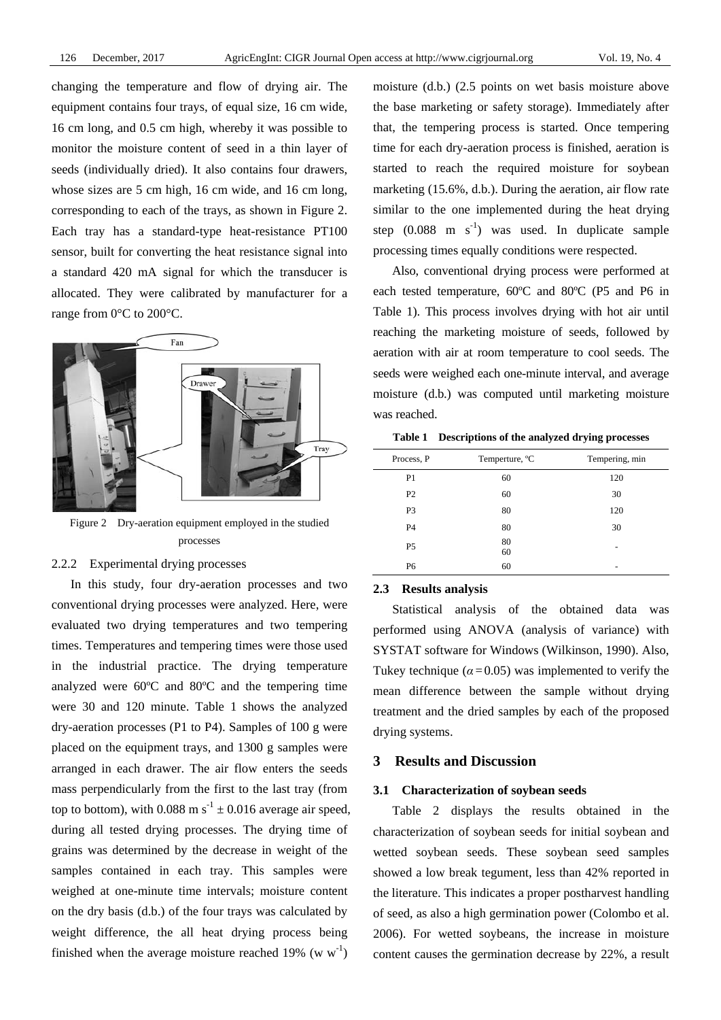changing the temperature and flow of drying air. The equipment contains four trays, of equal size, 16 cm wide, 16 cm long, and 0.5 cm high, whereby it was possible to monitor the moisture content of seed in a thin layer of seeds (individually dried). It also contains four drawers, whose sizes are 5 cm high, 16 cm wide, and 16 cm long, corresponding to each of the trays, as shown in Figure 2. Each tray has a standard-type heat-resistance PT100 sensor, built for converting the heat resistance signal into a standard 420 mA signal for which the transducer is allocated. They were calibrated by manufacturer for a range from 0°C to 200°C.



Figure 2 Dry-aeration equipment employed in the studied processes

# 2.2.2 Experimental drying processes

In this study, four dry-aeration processes and two conventional drying processes were analyzed. Here, were evaluated two drying temperatures and two tempering times. Temperatures and tempering times were those used in the industrial practice. The drying temperature analyzed were 60ºC and 80ºC and the tempering time were 30 and 120 minute. Table 1 shows the analyzed dry-aeration processes (P1 to P4). Samples of 100 g were placed on the equipment trays, and 1300 g samples were arranged in each drawer. The air flow enters the seeds mass perpendicularly from the first to the last tray (from top to bottom), with 0.088 m s<sup>-1</sup>  $\pm$  0.016 average air speed, during all tested drying processes. The drying time of grains was determined by the decrease in weight of the samples contained in each tray. This samples were weighed at one-minute time intervals; moisture content on the dry basis (d.b.) of the four trays was calculated by weight difference, the all heat drying process being finished when the average moisture reached 19% (w  $w^{-1}$ )

moisture (d.b.) (2.5 points on wet basis moisture above the base marketing or safety storage). Immediately after that, the tempering process is started. Once tempering time for each dry-aeration process is finished, aeration is started to reach the required moisture for soybean marketing (15.6%, d.b.). During the aeration, air flow rate similar to the one implemented during the heat drying step  $(0.088 \text{ m s}^{-1})$  was used. In duplicate sample processing times equally conditions were respected.

Also, conventional drying process were performed at each tested temperature, 60ºC and 80ºC (P5 and P6 in Table 1). This process involves drying with hot air until reaching the marketing moisture of seeds, followed by aeration with air at room temperature to cool seeds. The seeds were weighed each one-minute interval, and average moisture (d.b.) was computed until marketing moisture was reached.

|  | Table 1 Descriptions of the analyzed drying processes |  |  |  |  |
|--|-------------------------------------------------------|--|--|--|--|
|--|-------------------------------------------------------|--|--|--|--|

| Process, P     | Temperture, <sup>o</sup> C | Tempering, min |
|----------------|----------------------------|----------------|
| P <sub>1</sub> | 60                         | 120            |
| P <sub>2</sub> | 60                         | 30             |
| P <sub>3</sub> | 80                         | 120            |
| P <sub>4</sub> | 80                         | 30             |
| P <sub>5</sub> | 80<br>60                   | -              |
| P6             | 60                         |                |

## **2.3 Results analysis**

Statistical analysis of the obtained data was performed using ANOVA (analysis of variance) with SYSTAT software for Windows (Wilkinson, 1990). Also, Tukey technique ( $\alpha$  = 0.05) was implemented to verify the mean difference between the sample without drying treatment and the dried samples by each of the proposed drying systems.

# **3 Results and Discussion**

#### **3.1 Characterization of soybean seeds**

Table 2 displays the results obtained in the characterization of soybean seeds for initial soybean and wetted soybean seeds. These soybean seed samples showed a low break tegument, less than 42% reported in the literature. This indicates a proper postharvest handling of seed, as also a high germination power (Colombo et al. 2006). For wetted soybeans, the increase in moisture content causes the germination decrease by 22%, a result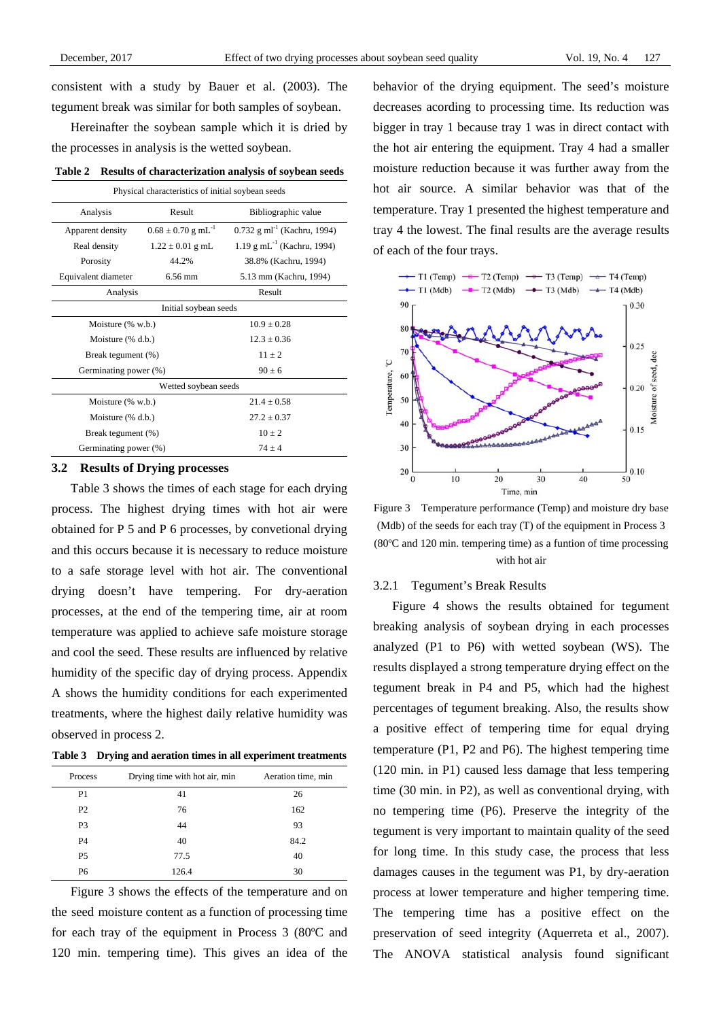consistent with a study by Bauer et al. (2003). The tegument break was similar for both samples of soybean.

Hereinafter the soybean sample which it is dried by the processes in analysis is the wetted soybean.

**Table 2 Results of characterization analysis of soybean seeds** 

| Physical characteristics of initial soybean seeds |                                    |                                          |  |
|---------------------------------------------------|------------------------------------|------------------------------------------|--|
| Analysis                                          | Result                             | Bibliographic value                      |  |
| Apparent density                                  | $0.68 \pm 0.70$ g mL <sup>-1</sup> | 0.732 g ml <sup>-1</sup> (Kachru, 1994)  |  |
| Real density                                      | $1.22 \pm 0.01$ g mL               | $1.19$ g mL <sup>-1</sup> (Kachru, 1994) |  |
| Porosity                                          | 44.2%                              | 38.8% (Kachru, 1994)                     |  |
| Equivalent diameter                               | $6.56 \text{ mm}$                  | 5.13 mm (Kachru, 1994)                   |  |
| Analysis                                          |                                    | Result                                   |  |
|                                                   | Initial soybean seeds              |                                          |  |
| Moisture $(\% w.b.)$                              |                                    | $10.9 \pm 0.28$                          |  |
| Moisture $(\%$ d.b.)                              |                                    | $12.3 + 0.36$                            |  |
| Break tegument (%)                                |                                    | $11 + 2$                                 |  |
| Germinating power (%)                             |                                    | $90 + 6$                                 |  |
|                                                   | Wetted soybean seeds               |                                          |  |
| Moisture $(\% w.b.)$                              |                                    | $21.4 \pm 0.58$                          |  |
| Moisture (% d.b.)                                 |                                    | $27.2 + 0.37$                            |  |
| Break tegument (%)                                |                                    | $10 + 2$                                 |  |
| Germinating power (%)                             |                                    | $74 + 4$                                 |  |

#### **3.2 Results of Drying processes**

Table 3 shows the times of each stage for each drying process. The highest drying times with hot air were obtained for P 5 and P 6 processes, by convetional drying and this occurs because it is necessary to reduce moisture to a safe storage level with hot air. The conventional drying doesn't have tempering. For dry-aeration processes, at the end of the tempering time, air at room temperature was applied to achieve safe moisture storage and cool the seed. These results are influenced by relative humidity of the specific day of drying process. Appendix A shows the humidity conditions for each experimented treatments, where the highest daily relative humidity was observed in process 2.

**Table 3 Drying and aeration times in all experiment treatments** 

| Process        | Drying time with hot air, min | Aeration time, min |
|----------------|-------------------------------|--------------------|
| P <sub>1</sub> | 41                            | 26                 |
| P <sub>2</sub> | 76                            | 162                |
| P <sub>3</sub> | 44                            | 93                 |
| P <sub>4</sub> | 40                            | 84.2               |
| P <sub>5</sub> | 77.5                          | 40                 |
| P6             | 126.4                         | 30                 |

Figure 3 shows the effects of the temperature and on the seed moisture content as a function of processing time for each tray of the equipment in Process 3 (80ºC and 120 min. tempering time). This gives an idea of the behavior of the drying equipment. The seed's moisture decreases acording to processing time. Its reduction was bigger in tray 1 because tray 1 was in direct contact with the hot air entering the equipment. Tray 4 had a smaller moisture reduction because it was further away from the hot air source. A similar behavior was that of the temperature. Tray 1 presented the highest temperature and tray 4 the lowest. The final results are the average results of each of the four trays.



Figure 3 Temperature performance (Temp) and moisture dry base (Mdb) of the seeds for each tray (T) of the equipment in Process 3 (80ºC and 120 min. tempering time) as a funtion of time processing with hot air

#### 3.2.1 Tegument's Break Results

Figure 4 shows the results obtained for tegument breaking analysis of soybean drying in each processes analyzed (P1 to P6) with wetted soybean (WS). The results displayed a strong temperature drying effect on the tegument break in P4 and P5, which had the highest percentages of tegument breaking. Also, the results show a positive effect of tempering time for equal drying temperature (P1, P2 and P6). The highest tempering time (120 min. in P1) caused less damage that less tempering time (30 min. in P2), as well as conventional drying, with no tempering time (P6). Preserve the integrity of the tegument is very important to maintain quality of the seed for long time. In this study case, the process that less damages causes in the tegument was P1, by dry-aeration process at lower temperature and higher tempering time. The tempering time has a positive effect on the preservation of seed integrity (Aquerreta et al., 2007). The ANOVA statistical analysis found significant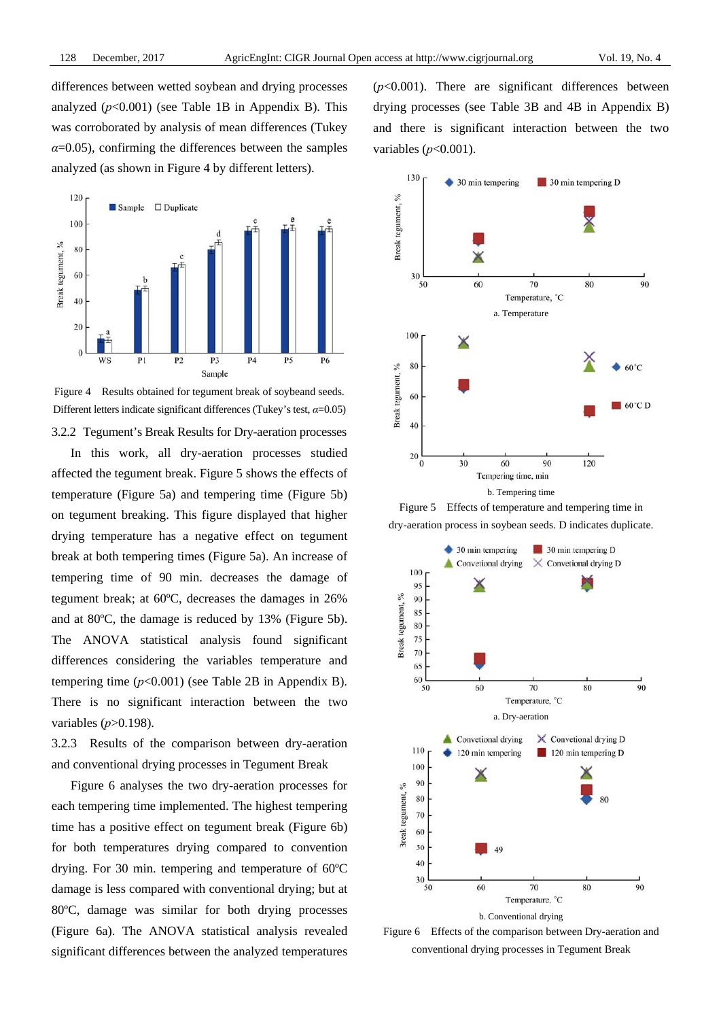differences between wetted soybean and drying processes analyzed  $(p<0.001)$  (see Table 1B in Appendix B). This was corroborated by analysis of mean differences (Tukey  $\alpha$ =0.05), confirming the differences between the samples analyzed (as shown in Figure 4 by different letters).



Figure 4 Results obtained for tegument break of soybeand seeds. Different letters indicate significant differences (Tukey's test, *α*=0.05)

3.2.2 Tegument's Break Results for Dry-aeration processes In this work, all dry-aeration processes studied

affected the tegument break. Figure 5 shows the effects of temperature (Figure 5a) and tempering time (Figure 5b) on tegument breaking. This figure displayed that higher drying temperature has a negative effect on tegument break at both tempering times (Figure 5a). An increase of tempering time of 90 min. decreases the damage of tegument break; at 60ºC, decreases the damages in 26% and at 80ºC, the damage is reduced by 13% (Figure 5b). The ANOVA statistical analysis found significant differences considering the variables temperature and tempering time  $(p<0.001)$  (see Table 2B in Appendix B). There is no significant interaction between the two variables (*p*>0.198).

3.2.3 Results of the comparison between dry-aeration and conventional drying processes in Tegument Break

Figure 6 analyses the two dry-aeration processes for each tempering time implemented. The highest tempering time has a positive effect on tegument break (Figure 6b) for both temperatures drying compared to convention drying. For 30 min. tempering and temperature of 60ºC damage is less compared with conventional drying; but at 80ºC, damage was similar for both drying processes (Figure 6a). The ANOVA statistical analysis revealed significant differences between the analyzed temperatures







Figure 6 Effects of the comparison between Dry-aeration and conventional drying processes in Tegument Break

 $(p<0.001)$ . There are significant differences between drying processes (see Table 3B and 4B in Appendix B) and there is significant interaction between the two variables (*p*<0.001).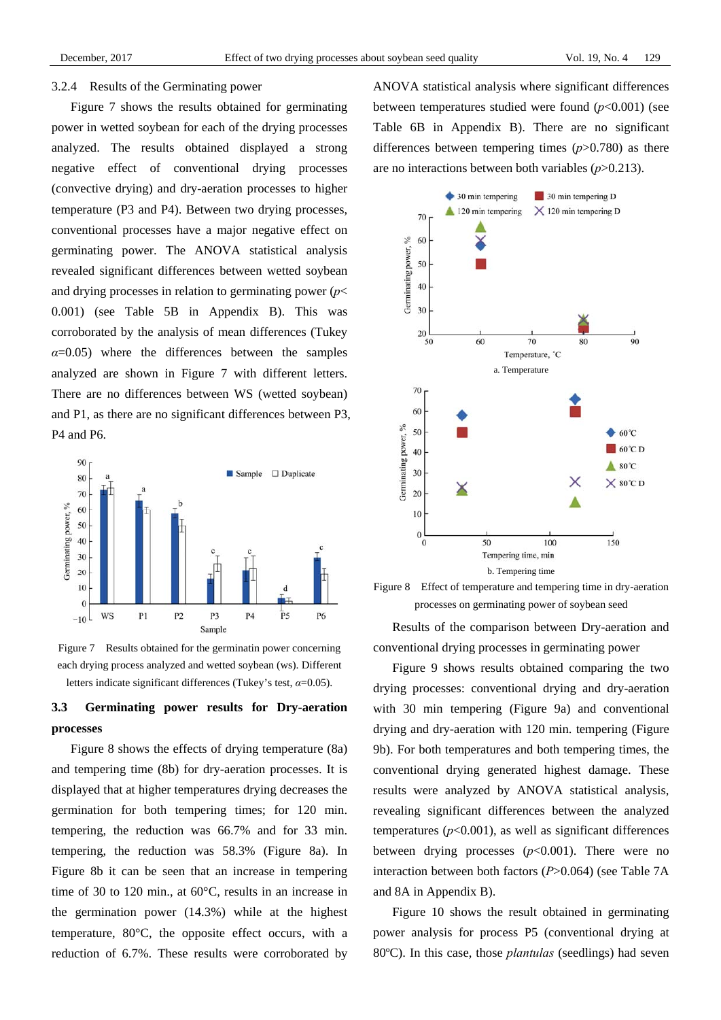#### 3.2.4 Results of the Germinating power

Figure 7 shows the results obtained for germinating power in wetted soybean for each of the drying processes analyzed. The results obtained displayed a strong negative effect of conventional drying processes (convective drying) and dry-aeration processes to higher temperature (P3 and P4). Between two drying processes, conventional processes have a major negative effect on germinating power. The ANOVA statistical analysis revealed significant differences between wetted soybean and drying processes in relation to germinating power (*p*< 0.001) (see Table 5B in Appendix B). This was corroborated by the analysis of mean differences (Tukey  $\alpha$ =0.05) where the differences between the samples analyzed are shown in Figure 7 with different letters. There are no differences between WS (wetted soybean) and P1, as there are no significant differences between P3, P4 and P6.



Figure 7 Results obtained for the germinatin power concerning each drying process analyzed and wetted soybean (ws). Different letters indicate significant differences (Tukey's test, *α*=0.05).

# **3.3 Germinating power results for Dry-aeration processes**

Figure 8 shows the effects of drying temperature (8a) and tempering time (8b) for dry-aeration processes. It is displayed that at higher temperatures drying decreases the germination for both tempering times; for 120 min. tempering, the reduction was 66.7% and for 33 min. tempering, the reduction was 58.3% (Figure 8a). In Figure 8b it can be seen that an increase in tempering time of 30 to 120 min., at 60°C, results in an increase in the germination power (14.3%) while at the highest temperature, 80°C, the opposite effect occurs, with a reduction of 6.7%. These results were corroborated by ANOVA statistical analysis where significant differences between temperatures studied were found  $(p<0.001)$  (see Table 6B in Appendix B). There are no significant differences between tempering times (*p*>0.780) as there are no interactions between both variables (*p*>0.213).



Figure 8 Effect of temperature and tempering time in dry-aeration processes on germinating power of soybean seed

Results of the comparison between Dry-aeration and conventional drying processes in germinating power

Figure 9 shows results obtained comparing the two drying processes: conventional drying and dry-aeration with 30 min tempering (Figure 9a) and conventional drying and dry-aeration with 120 min. tempering (Figure 9b). For both temperatures and both tempering times, the conventional drying generated highest damage. These results were analyzed by ANOVA statistical analysis, revealing significant differences between the analyzed temperatures  $(p<0.001)$ , as well as significant differences between drying processes  $(p<0.001)$ . There were no interaction between both factors (*P*>0.064) (see Table 7A and 8A in Appendix B).

Figure 10 shows the result obtained in germinating power analysis for process P5 (conventional drying at 80ºC). In this case, those *plantulas* (seedlings) had seven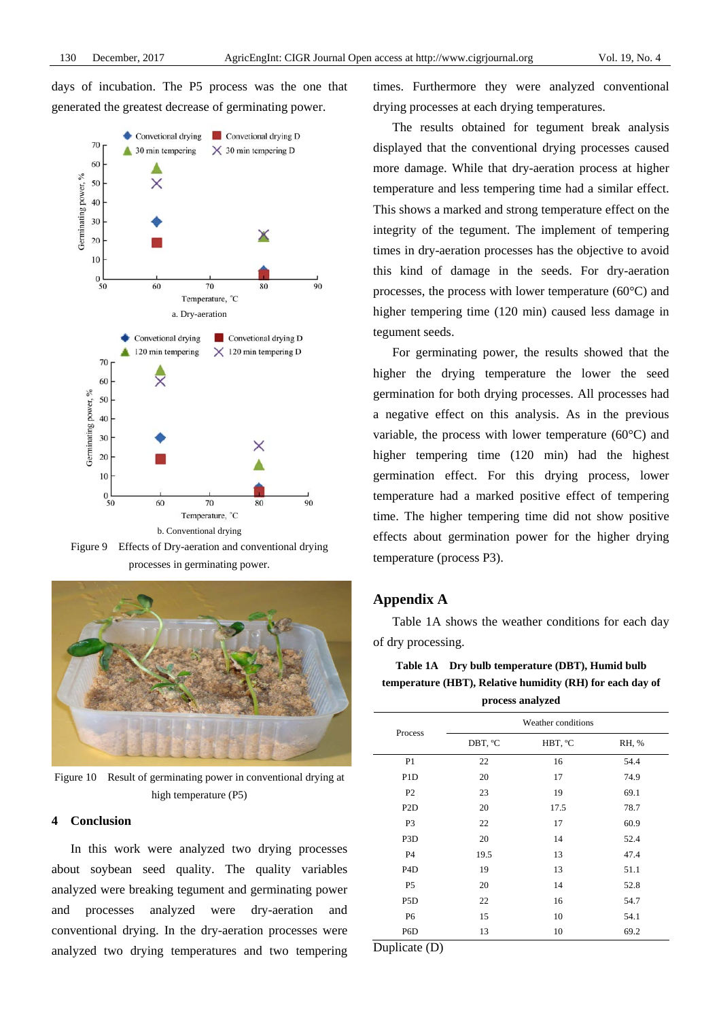days of incubation. The P5 process was the one that generated the greatest decrease of germinating power.



Figure 9 Effects of Dry-aeration and conventional drying processes in germinating power.



Figure 10 Result of germinating power in conventional drying at high temperature (P5)

#### **4 Conclusion**

In this work were analyzed two drying processes about soybean seed quality. The quality variables analyzed were breaking tegument and germinating power and processes analyzed were dry-aeration and conventional drying. In the dry-aeration processes were analyzed two drying temperatures and two tempering times. Furthermore they were analyzed conventional drying processes at each drying temperatures.

The results obtained for tegument break analysis displayed that the conventional drying processes caused more damage. While that dry-aeration process at higher temperature and less tempering time had a similar effect. This shows a marked and strong temperature effect on the integrity of the tegument. The implement of tempering times in dry-aeration processes has the objective to avoid this kind of damage in the seeds. For dry-aeration processes, the process with lower temperature (60°C) and higher tempering time (120 min) caused less damage in tegument seeds.

For germinating power, the results showed that the higher the drying temperature the lower the seed germination for both drying processes. All processes had a negative effect on this analysis. As in the previous variable, the process with lower temperature  $(60^{\circ}C)$  and higher tempering time (120 min) had the highest germination effect. For this drying process, lower temperature had a marked positive effect of tempering time. The higher tempering time did not show positive effects about germination power for the higher drying temperature (process P3).

# **Appendix A**

Table 1A shows the weather conditions for each day of dry processing.

# **Table 1A Dry bulb temperature (DBT), Humid bulb temperature (HBT), Relative humidity (RH) for each day of**

|  | process analyzed |
|--|------------------|
|  |                  |

| Process          | Weather conditions |         |       |  |  |
|------------------|--------------------|---------|-------|--|--|
|                  | DBT, °C            | HBT, °C | RH, % |  |  |
| P <sub>1</sub>   | 22                 | 16      | 54.4  |  |  |
| P <sub>1</sub> D | 20                 | 17      | 74.9  |  |  |
| P <sub>2</sub>   | 23                 | 19      | 69.1  |  |  |
| P <sub>2</sub> D | 20                 | 17.5    | 78.7  |  |  |
| P <sub>3</sub>   | 22                 | 17      | 60.9  |  |  |
| P <sub>3</sub> D | 20                 | 14      | 52.4  |  |  |
| P <sub>4</sub>   | 19.5               | 13      | 47.4  |  |  |
| P <sub>4</sub> D | 19                 | 13      | 51.1  |  |  |
| P <sub>5</sub>   | 20                 | 14      | 52.8  |  |  |
| P <sub>5</sub> D | 22                 | 16      | 54.7  |  |  |
| P <sub>6</sub>   | 15                 | 10      | 54.1  |  |  |
| P <sub>6</sub> D | 13                 | 10      | 69.2  |  |  |

Duplicate (D)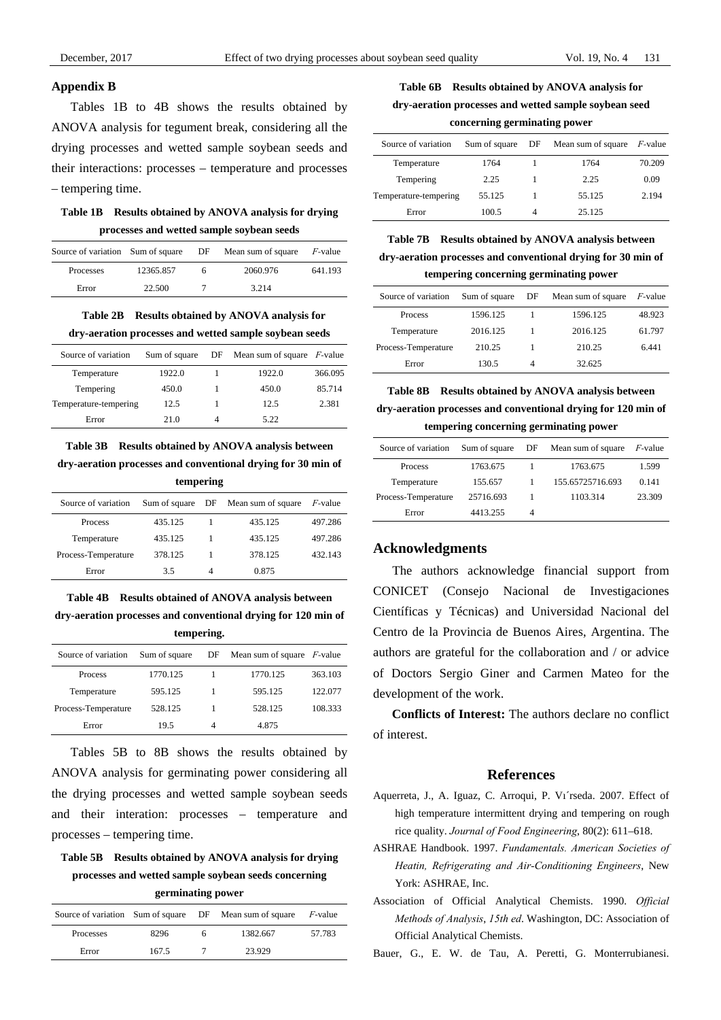#### **Appendix B**

Tables 1B to 4B shows the results obtained by ANOVA analysis for tegument break, considering all the drying processes and wetted sample soybean seeds and their interactions: processes – temperature and processes – tempering time.

# **Table 1B Results obtained by ANOVA analysis for drying processes and wetted sample soybean seeds**

| Source of variation Sum of square |           | DF | Mean sum of square | <i>F</i> -value |
|-----------------------------------|-----------|----|--------------------|-----------------|
| Processes                         | 12365.857 |    | 2060.976           | 641.193         |
| Error                             | 22.500    |    | 3.214              |                 |

**Table 2B Results obtained by ANOVA analysis for dry-aeration processes and wetted sample soybean seeds** 

| Source of variation   | Sum of square | $DF$ Mean sum of square <i>F</i> -value |         |
|-----------------------|---------------|-----------------------------------------|---------|
| Temperature           | 1922.0        | 1922.0                                  | 366.095 |
| Tempering             | 450.0         | 450.0                                   | 85.714  |
| Temperature-tempering | 12.5          | 12.5                                    | 2.381   |
| Error                 | 21.0          | 5.22                                    |         |

# **Table 3B Results obtained by ANOVA analysis between**

**dry-aeration processes and conventional drying for 30 min of tempering** 

| Source of variation | Sum of square |   | DF Mean sum of square | $F$ -value |
|---------------------|---------------|---|-----------------------|------------|
| <b>Process</b>      | 435.125       |   | 435.125               | 497.286    |
| Temperature         | 435.125       |   | 435.125               | 497.286    |
| Process-Temperature | 378.125       |   | 378.125               | 432.143    |
| Error               | 3.5           | 4 | 0.875                 |            |

**Table 4B Results obtained of ANOVA analysis between dry-aeration processes and conventional drying for 120 min of tempering.** 

| Source of variation | Sum of square |   | $DF$ Mean sum of square <i>F</i> -value |         |
|---------------------|---------------|---|-----------------------------------------|---------|
| <b>Process</b>      | 1770.125      |   | 1770.125                                | 363.103 |
| Temperature         | 595.125       |   | 595.125                                 | 122.077 |
| Process-Temperature | 528.125       |   | 528.125                                 | 108.333 |
| Error               | 19.5          | 4 | 4.875                                   |         |

Tables 5B to 8B shows the results obtained by ANOVA analysis for germinating power considering all the drying processes and wetted sample soybean seeds and their interation: processes – temperature and processes – tempering time.

**Table 5B Results obtained by ANOVA analysis for drying processes and wetted sample soybean seeds concerning germinating power** 

|           |       |   | Source of variation Sum of square DF Mean sum of square $F$ -value |        |
|-----------|-------|---|--------------------------------------------------------------------|--------|
| Processes | 8296  | h | 1382.667                                                           | 57.783 |
| Error     | 167.5 |   | 23.929                                                             |        |

**Table 6B Results obtained by ANOVA analysis for dry-aeration processes and wetted sample soybean seed concerning germinating power** 

| Source of variation   | Sum of square | DF | Mean sum of square | <i>F</i> -value |
|-----------------------|---------------|----|--------------------|-----------------|
| Temperature           | 1764          |    | 1764               | 70.209          |
| Tempering             | 2.25          |    | 2.25               | 0.09            |
| Temperature-tempering | 55.125        |    | 55.125             | 2.194           |
| Error                 | 100.5         | 4  | 25.125             |                 |

**Table 7B Results obtained by ANOVA analysis between dry-aeration processes and conventional drying for 30 min of tempering concerning germinating power** 

| Source of variation | Sum of square | DF | Mean sum of square | $F$ -value |
|---------------------|---------------|----|--------------------|------------|
| <b>Process</b>      | 1596.125      |    | 1596.125           | 48.923     |
| Temperature         | 2016.125      |    | 2016.125           | 61.797     |
| Process-Temperature | 210.25        |    | 210.25             | 6.441      |
| Error               | 130.5         | 4  | 32.625             |            |

**Table 8B Results obtained by ANOVA analysis between dry-aeration processes and conventional drying for 120 min of tempering concerning germinating power** 

| Source of variation | Sum of square |   | DF Mean sum of square | <i>F</i> -value |
|---------------------|---------------|---|-----------------------|-----------------|
| <b>Process</b>      | 1763.675      |   | 1763.675              | 1.599           |
| Temperature         | 155.657       |   | 155.65725716.693      | 0.141           |
| Process-Temperature | 25716.693     |   | 1103.314              | 23.309          |
| Error               | 4413.255      | 4 |                       |                 |

# **Acknowledgments**

The authors acknowledge financial support from CONICET (Consejo Nacional de Investigaciones Científicas y Técnicas) and Universidad Nacional del Centro de la Provincia de Buenos Aires, Argentina. The authors are grateful for the collaboration and / or advice of Doctors Sergio Giner and Carmen Mateo for the development of the work.

**Conflicts of Interest:** The authors declare no conflict of interest.

#### **References**

- Aquerreta, J., A. Iguaz, C. Arroqui, P. Vı´rseda. 2007. Effect of high temperature intermittent drying and tempering on rough rice quality. *Journal of Food Engineering*, 80(2): 611–618.
- ASHRAE Handbook. 1997. *Fundamentals. American Societies of Heatin, Refrigerating and Air-Conditioning Engineers*, New York: ASHRAE, Inc.
- Association of Official Analytical Chemists. 1990. *Official Methods of Analysis*, *15th ed*. Washington, DC: Association of Official Analytical Chemists.

Bauer, G., E. W. de Tau, A. Peretti, G. Monterrubianesi.